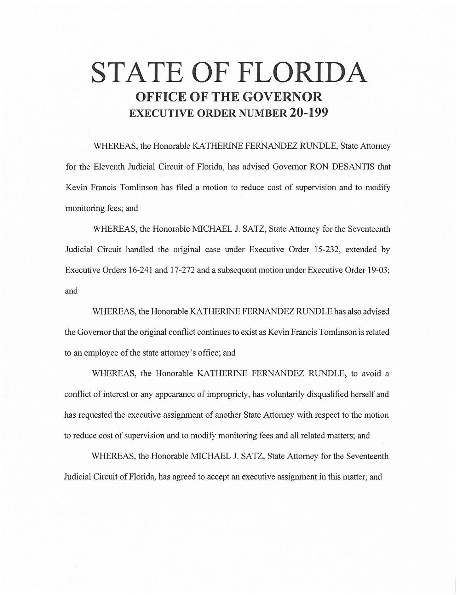## **STATE OF FLORIDA OFFICE OF THE GOVERNOR EXECUTIVE ORDER NUMBER 20-199**

WHEREAS, the Honorable KA THERINE FERNANDEZ RUNDLE, State Attorney for the Eleventh Judicial Circuit of Florida, has advised Governor RON DESANTIS that Kevin Francis Tomlinson has filed a motion to reduce cost of supervision and to modify monitoring fees; and

WHEREAS, the Honorable MICHAEL J. SATZ, State Attorney for the Seventeenth Judicial Circuit handled the original case under Executive Order 15-232, extended by Executive Orders 16-241 and 17-272 and a subsequent motion under Executive Order 19-03; and

WHEREAS, the Honorable KA THERINE FERNANDEZ RUNDLE has also advised the Governor that the original conflict continues to exist as Kevin Francis Tomlinson is related to an employee of the state attorney's office; and

WHEREAS, the Honorable KATHERINE FERNANDEZ RUNDLE, to avoid a conflict of interest or any appearance of impropriety, has voluntarily disqualified herself and has requested the executive assignment of another State Attorney with respect to the motion to reduce cost of supervision and to modify monitoring fees and all related matters; and

WHEREAS, the Honorable MICHAEL J. SATZ, State Attorney for the Seventeenth Judicial Circuit of Florida, has agreed to accept an executive assignment in this matter; and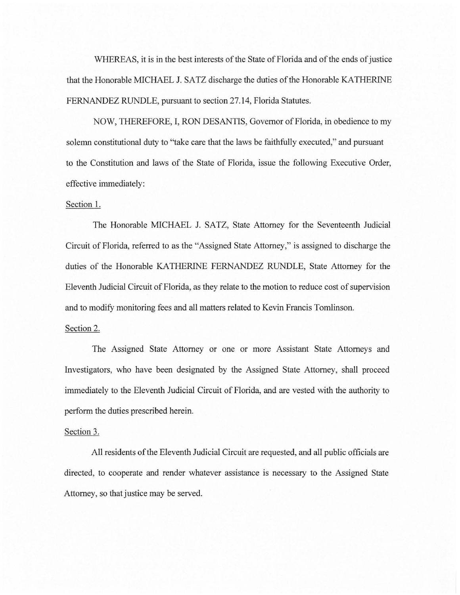WHEREAS, it is in the best interests of the State of Florida and of the ends of justice that the Honorable MICHAEL J. SATZ discharge the duties of the Honorable KA THERINE FERNANDEZ RUNDLE, pursuant to section 27.14, Florida Statutes.

NOW, THEREFORE, I, RON DESANTIS, Governor of Florida, in obedience to my solemn constitutional duty to "take care that the laws be faithfully executed," and pursuant to the Constitution and laws of the State of Florida, issue the following Executive Order, effective immediately:

## Section 1.

The Honorable MICHAEL J. SATZ, State Attorney for the Seventeenth Judicial Circuit of Florida, referred to as the "Assigned State Attorney," is assigned to discharge the duties of the Honorable KATHERINE FERNANDEZ RUNDLE, State Attorney for the Eleventh Judicial Circuit of Florida, as they relate to the motion to reduce cost of supervision and to modify monitoring fees and all matters related to Kevin Francis Tomlinson.

## Section 2.

The Assigned State Attorney or one or more Assistant State Attorneys and Investigators, who have been designated by the Assigned State Attorney, shall proceed immediately to the Eleventh Judicial Circuit of Florida, and are vested with the authority to perform the duties prescribed herein.

## Section 3.

All residents of the Eleventh Judicial Circuit are requested, and all public officials are directed, to cooperate and render whatever assistance is necessary to the Assigned State Attorney, so that justice may be served.